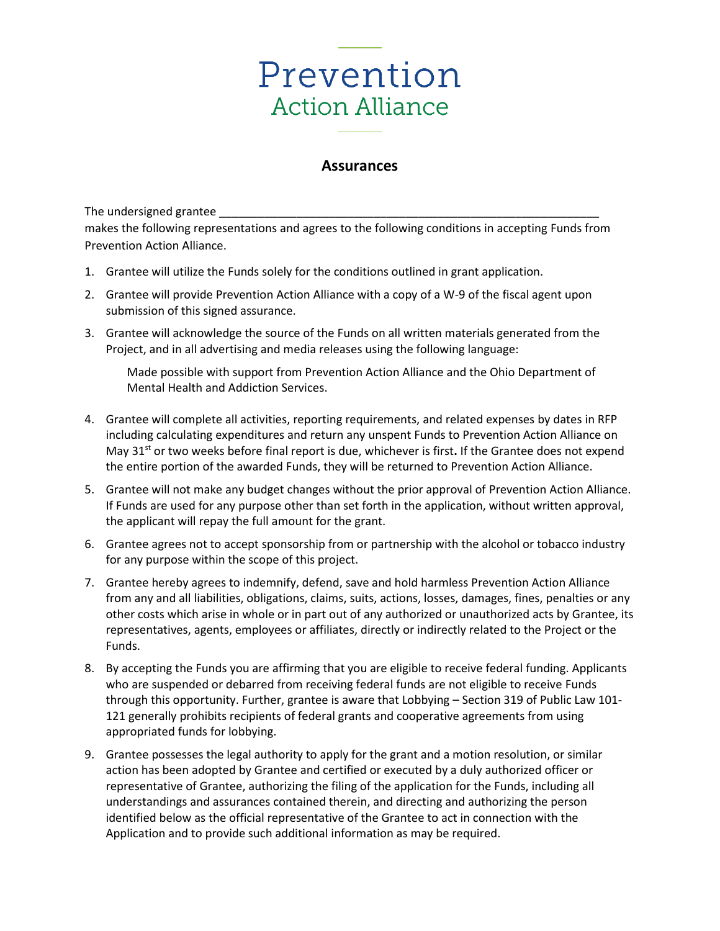## Prevention **Action Alliance**

## **Assurances**

The undersigned grantee \_

makes the following representations and agrees to the following conditions in accepting Funds from Prevention Action Alliance.

- 1. Grantee will utilize the Funds solely for the conditions outlined in grant application.
- 2. Grantee will provide Prevention Action Alliance with a copy of a W-9 of the fiscal agent upon submission of this signed assurance.
- 3. Grantee will acknowledge the source of the Funds on all written materials generated from the Project, and in all advertising and media releases using the following language:

Made possible with support from Prevention Action Alliance and the Ohio Department of Mental Health and Addiction Services.

- 4. Grantee will complete all activities, reporting requirements, and related expenses by dates in RFP including calculating expenditures and return any unspent Funds to Prevention Action Alliance on May 31st or two weeks before final report is due, whichever is first**.** If the Grantee does not expend the entire portion of the awarded Funds, they will be returned to Prevention Action Alliance.
- 5. Grantee will not make any budget changes without the prior approval of Prevention Action Alliance. If Funds are used for any purpose other than set forth in the application, without written approval, the applicant will repay the full amount for the grant.
- 6. Grantee agrees not to accept sponsorship from or partnership with the alcohol or tobacco industry for any purpose within the scope of this project.
- 7. Grantee hereby agrees to indemnify, defend, save and hold harmless Prevention Action Alliance from any and all liabilities, obligations, claims, suits, actions, losses, damages, fines, penalties or any other costs which arise in whole or in part out of any authorized or unauthorized acts by Grantee, its representatives, agents, employees or affiliates, directly or indirectly related to the Project or the Funds.
- 8. By accepting the Funds you are affirming that you are eligible to receive federal funding. Applicants who are suspended or debarred from receiving federal funds are not eligible to receive Funds through this opportunity. Further, grantee is aware that Lobbying – Section 319 of Public Law 101- 121 generally prohibits recipients of federal grants and cooperative agreements from using appropriated funds for lobbying.
- 9. Grantee possesses the legal authority to apply for the grant and a motion resolution, or similar action has been adopted by Grantee and certified or executed by a duly authorized officer or representative of Grantee, authorizing the filing of the application for the Funds, including all understandings and assurances contained therein, and directing and authorizing the person identified below as the official representative of the Grantee to act in connection with the Application and to provide such additional information as may be required.